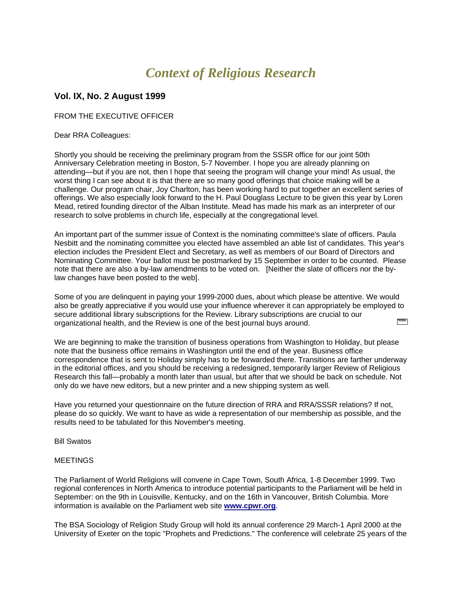# *Context of Religious Research*

## **Vol. IX, No. 2 August 1999**

### FROM THE EXECUTIVE OFFICER

Dear RRA Colleagues:

Shortly you should be receiving the preliminary program from the SSSR office for our joint 50th Anniversary Celebration meeting in Boston, 5-7 November. I hope you are already planning on attending—but if you are not, then I hope that seeing the program will change your mind! As usual, the worst thing I can see about it is that there are so many good offerings that choice making will be a challenge. Our program chair, Joy Charlton, has been working hard to put together an excellent series of offerings. We also especially look forward to the H. Paul Douglass Lecture to be given this year by Loren Mead, retired founding director of the Alban Institute. Mead has made his mark as an interpreter of our research to solve problems in church life, especially at the congregational level.

An important part of the summer issue of Context is the nominating committee's slate of officers. Paula Nesbitt and the nominating committee you elected have assembled an able list of candidates. This year's election includes the President Elect and Secretary, as well as members of our Board of Directors and Nominating Committee. Your ballot must be postmarked by 15 September in order to be counted. Please note that there are also a by-law amendments to be voted on. [Neither the slate of officers nor the bylaw changes have been posted to the web].

Some of you are delinquent in paying your 1999-2000 dues, about which please be attentive. We would also be greatly appreciative if you would use your influence wherever it can appropriately be employed to secure additional library subscriptions for the Review. Library subscriptions are crucial to our **Contract** organizational health, and the Review is one of the best journal buys around.

We are beginning to make the transition of business operations from Washington to Holiday, but please note that the business office remains in Washington until the end of the year. Business office correspondence that is sent to Holiday simply has to be forwarded there. Transitions are farther underway in the editorial offices, and you should be receiving a redesigned, temporarily larger Review of Religious Research this fall—probably a month later than usual, but after that we should be back on schedule. Not only do we have new editors, but a new printer and a new shipping system as well.

Have you returned your questionnaire on the future direction of RRA and RRA/SSSR relations? If not, please do so quickly. We want to have as wide a representation of our membership as possible, and the results need to be tabulated for this November's meeting.

Bill Swatos

#### **MEETINGS**

The Parliament of World Religions will convene in Cape Town, South Africa, 1-8 December 1999. Two regional conferences in North America to introduce potential participants to the Parliament will be held in September: on the 9th in Louisville, Kentucky, and on the 16th in Vancouver, British Columbia. More information is available on the Parliament web site **[www.cpwr.org](http://www.cpwr.org/)**.

The BSA Sociology of Religion Study Group will hold its annual conference 29 March-1 April 2000 at the University of Exeter on the topic "Prophets and Predictions." The conference will celebrate 25 years of the